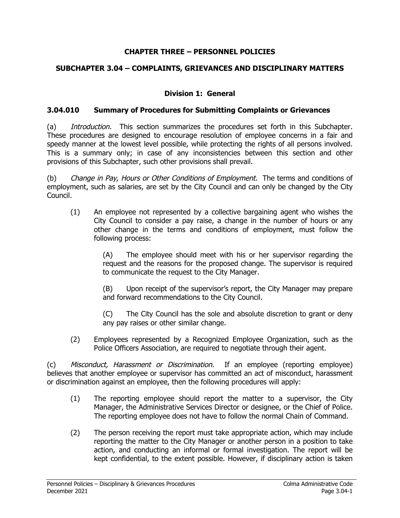### **CHAPTER THREE – PERSONNEL POLICIES**

### **SUBCHAPTER 3.04 – COMPLAINTS, GRIEVANCES AND DISCIPLINARY MATTERS**

#### **Division 1: General**

#### **3.04.010 Summary of Procedures for Submitting Complaints or Grievances**

(a) Introduction. This section summarizes the procedures set forth in this Subchapter. These procedures are designed to encourage resolution of employee concerns in a fair and speedy manner at the lowest level possible, while protecting the rights of all persons involved. This is a summary only; in case of any inconsistencies between this section and other provisions of this Subchapter, such other provisions shall prevail.

(b) Change in Pay, Hours or Other Conditions of Employment. The terms and conditions of employment, such as salaries, are set by the City Council and can only be changed by the City Council.

(1) An employee not represented by a collective bargaining agent who wishes the City Council to consider a pay raise, a change in the number of hours or any other change in the terms and conditions of employment, must follow the following process:

> (A) The employee should meet with his or her supervisor regarding the request and the reasons for the proposed change. The supervisor is required to communicate the request to the City Manager.

> (B) Upon receipt of the supervisor's report, the City Manager may prepare and forward recommendations to the City Council.

> (C) The City Council has the sole and absolute discretion to grant or deny any pay raises or other similar change.

(2) Employees represented by a Recognized Employee Organization, such as the Police Officers Association, are required to negotiate through their agent.

(c) Misconduct, Harassment or Discrimination. If an employee (reporting employee) believes that another employee or supervisor has committed an act of misconduct, harassment or discrimination against an employee, then the following procedures will apply:

- (1) The reporting employee should report the matter to a supervisor, the City Manager, the Administrative Services Director or designee, or the Chief of Police. The reporting employee does not have to follow the normal Chain of Command.
- (2) The person receiving the report must take appropriate action, which may include reporting the matter to the City Manager or another person in a position to take action, and conducting an informal or formal investigation. The report will be kept confidential, to the extent possible. However, if disciplinary action is taken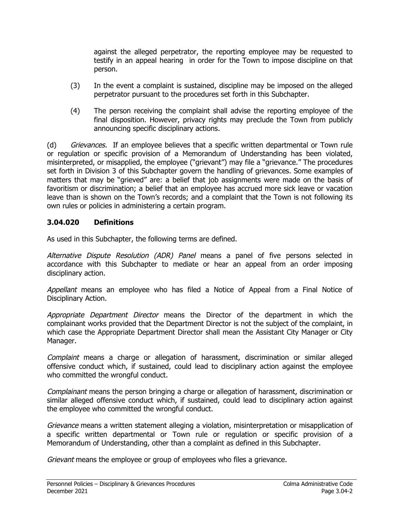against the alleged perpetrator, the reporting employee may be requested to testify in an appeal hearing in order for the Town to impose discipline on that person.

- (3) In the event a complaint is sustained, discipline may be imposed on the alleged perpetrator pursuant to the procedures set forth in this Subchapter.
- (4) The person receiving the complaint shall advise the reporting employee of the final disposition. However, privacy rights may preclude the Town from publicly announcing specific disciplinary actions.

(d) Grievances. If an employee believes that a specific written departmental or Town rule or regulation or specific provision of a Memorandum of Understanding has been violated, misinterpreted, or misapplied, the employee ("grievant") may file a "grievance." The procedures set forth in Division 3 of this Subchapter govern the handling of grievances. Some examples of matters that may be "grieved" are: a belief that job assignments were made on the basis of favoritism or discrimination; a belief that an employee has accrued more sick leave or vacation leave than is shown on the Town's records; and a complaint that the Town is not following its own rules or policies in administering a certain program.

### **3.04.020 Definitions**

As used in this Subchapter, the following terms are defined.

Alternative Dispute Resolution (ADR) Panel means a panel of five persons selected in accordance with this Subchapter to mediate or hear an appeal from an order imposing disciplinary action.

Appellant means an employee who has filed a Notice of Appeal from a Final Notice of Disciplinary Action.

Appropriate Department Director means the Director of the department in which the complainant works provided that the Department Director is not the subject of the complaint, in which case the Appropriate Department Director shall mean the Assistant City Manager or City Manager.

Complaint means a charge or allegation of harassment, discrimination or similar alleged offensive conduct which, if sustained, could lead to disciplinary action against the employee who committed the wrongful conduct.

Complainant means the person bringing a charge or allegation of harassment, discrimination or similar alleged offensive conduct which, if sustained, could lead to disciplinary action against the employee who committed the wrongful conduct.

Grievance means a written statement alleging a violation, misinterpretation or misapplication of a specific written departmental or Town rule or regulation or specific provision of a Memorandum of Understanding, other than a complaint as defined in this Subchapter.

Grievant means the employee or group of employees who files a grievance.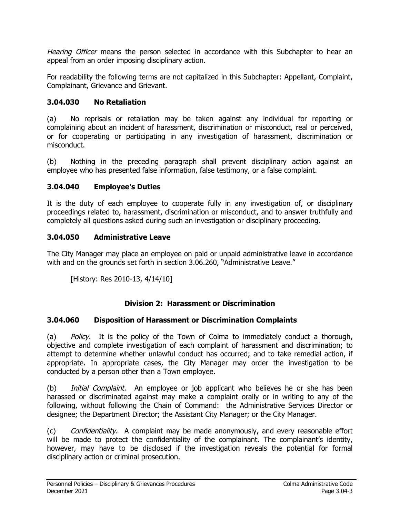Hearing Officer means the person selected in accordance with this Subchapter to hear an appeal from an order imposing disciplinary action.

For readability the following terms are not capitalized in this Subchapter: Appellant, Complaint, Complainant, Grievance and Grievant.

#### **3.04.030 No Retaliation**

(a) No reprisals or retaliation may be taken against any individual for reporting or complaining about an incident of harassment, discrimination or misconduct, real or perceived, or for cooperating or participating in any investigation of harassment, discrimination or misconduct.

(b) Nothing in the preceding paragraph shall prevent disciplinary action against an employee who has presented false information, false testimony, or a false complaint.

#### **3.04.040 Employee's Duties**

It is the duty of each employee to cooperate fully in any investigation of, or disciplinary proceedings related to, harassment, discrimination or misconduct, and to answer truthfully and completely all questions asked during such an investigation or disciplinary proceeding.

#### **3.04.050 Administrative Leave**

The City Manager may place an employee on paid or unpaid administrative leave in accordance with and on the grounds set forth in section 3.06.260, "Administrative Leave."

[History: Res 2010-13, 4/14/10]

#### **Division 2: Harassment or Discrimination**

#### **3.04.060 Disposition of Harassment or Discrimination Complaints**

(a) Policy. It is the policy of the Town of Colma to immediately conduct a thorough, objective and complete investigation of each complaint of harassment and discrimination; to attempt to determine whether unlawful conduct has occurred; and to take remedial action, if appropriate. In appropriate cases, the City Manager may order the investigation to be conducted by a person other than a Town employee.

(b) Initial Complaint. An employee or job applicant who believes he or she has been harassed or discriminated against may make a complaint orally or in writing to any of the following, without following the Chain of Command: the Administrative Services Director or designee; the Department Director; the Assistant City Manager; or the City Manager.

(c) Confidentiality. A complaint may be made anonymously, and every reasonable effort will be made to protect the confidentiality of the complainant. The complainant's identity, however, may have to be disclosed if the investigation reveals the potential for formal disciplinary action or criminal prosecution.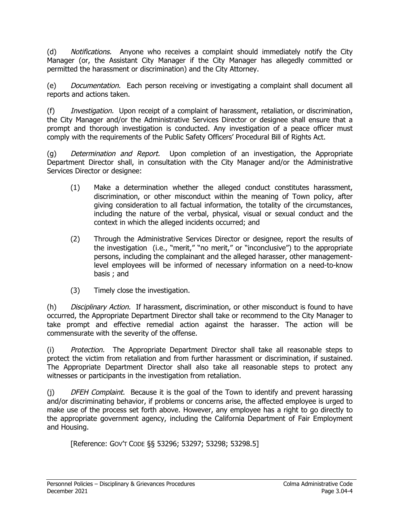(d) Notifications. Anyone who receives a complaint should immediately notify the City Manager (or, the Assistant City Manager if the City Manager has allegedly committed or permitted the harassment or discrimination) and the City Attorney.

(e) Documentation. Each person receiving or investigating a complaint shall document all reports and actions taken.

(f) Investigation. Upon receipt of a complaint of harassment, retaliation, or discrimination, the City Manager and/or the Administrative Services Director or designee shall ensure that a prompt and thorough investigation is conducted. Any investigation of a peace officer must comply with the requirements of the Public Safety Officers' Procedural Bill of Rights Act.

(g) Determination and Report. Upon completion of an investigation, the Appropriate Department Director shall, in consultation with the City Manager and/or the Administrative Services Director or designee:

- (1) Make a determination whether the alleged conduct constitutes harassment, discrimination, or other misconduct within the meaning of Town policy, after giving consideration to all factual information, the totality of the circumstances, including the nature of the verbal, physical, visual or sexual conduct and the context in which the alleged incidents occurred; and
- (2) Through the Administrative Services Director or designee, report the results of the investigation (i.e., "merit," "no merit," or "inconclusive") to the appropriate persons, including the complainant and the alleged harasser, other managementlevel employees will be informed of necessary information on a need-to-know basis ; and
- (3) Timely close the investigation.

(h) Disciplinary Action. If harassment, discrimination, or other misconduct is found to have occurred, the Appropriate Department Director shall take or recommend to the City Manager to take prompt and effective remedial action against the harasser. The action will be commensurate with the severity of the offense.

(i) Protection. The Appropriate Department Director shall take all reasonable steps to protect the victim from retaliation and from further harassment or discrimination, if sustained. The Appropriate Department Director shall also take all reasonable steps to protect any witnesses or participants in the investigation from retaliation.

(i) DFEH Complaint. Because it is the goal of the Town to identify and prevent harassing and/or discriminating behavior, if problems or concerns arise, the affected employee is urged to make use of the process set forth above. However, any employee has a right to go directly to the appropriate government agency, including the California Department of Fair Employment and Housing.

[Reference: GOV'T CODE §§ 53296; 53297; 53298; 53298.5]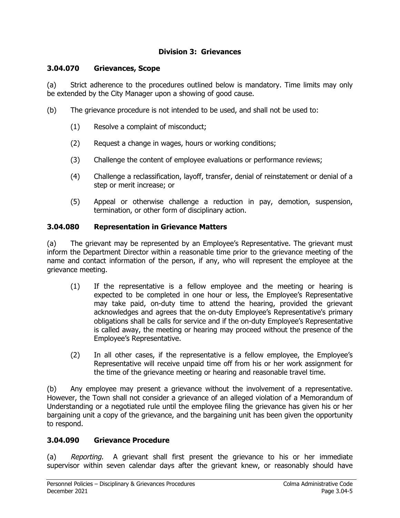### **Division 3: Grievances**

#### **3.04.070 Grievances, Scope**

(a) Strict adherence to the procedures outlined below is mandatory. Time limits may only be extended by the City Manager upon a showing of good cause.

- (b) The grievance procedure is not intended to be used, and shall not be used to:
	- (1) Resolve a complaint of misconduct;
	- (2) Request a change in wages, hours or working conditions;
	- (3) Challenge the content of employee evaluations or performance reviews;
	- (4) Challenge a reclassification, layoff, transfer, denial of reinstatement or denial of a step or merit increase; or
	- (5) Appeal or otherwise challenge a reduction in pay, demotion, suspension, termination, or other form of disciplinary action.

#### **3.04.080 Representation in Grievance Matters**

(a) The grievant may be represented by an Employee's Representative. The grievant must inform the Department Director within a reasonable time prior to the grievance meeting of the name and contact information of the person, if any, who will represent the employee at the grievance meeting.

- (1) If the representative is a fellow employee and the meeting or hearing is expected to be completed in one hour or less, the Employee's Representative may take paid, on-duty time to attend the hearing, provided the grievant acknowledges and agrees that the on-duty Employee's Representative's primary obligations shall be calls for service and if the on-duty Employee's Representative is called away, the meeting or hearing may proceed without the presence of the Employee's Representative.
- (2) In all other cases, if the representative is a fellow employee, the Employee's Representative will receive unpaid time off from his or her work assignment for the time of the grievance meeting or hearing and reasonable travel time.

(b) Any employee may present a grievance without the involvement of a representative. However, the Town shall not consider a grievance of an alleged violation of a Memorandum of Understanding or a negotiated rule until the employee filing the grievance has given his or her bargaining unit a copy of the grievance, and the bargaining unit has been given the opportunity to respond.

### **3.04.090 Grievance Procedure**

(a) Reporting. A grievant shall first present the grievance to his or her immediate supervisor within seven calendar days after the grievant knew, or reasonably should have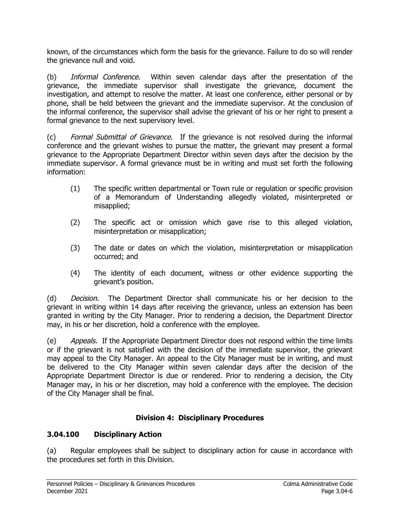known, of the circumstances which form the basis for the grievance. Failure to do so will render the grievance null and void.

(b) Informal Conference. Within seven calendar days after the presentation of the grievance, the immediate supervisor shall investigate the grievance, document the investigation, and attempt to resolve the matter. At least one conference, either personal or by phone, shall be held between the grievant and the immediate supervisor. At the conclusion of the informal conference, the supervisor shall advise the grievant of his or her right to present a formal grievance to the next supervisory level.

(c) Formal Submittal of Grievance. If the grievance is not resolved during the informal conference and the grievant wishes to pursue the matter, the grievant may present a formal grievance to the Appropriate Department Director within seven days after the decision by the immediate supervisor. A formal grievance must be in writing and must set forth the following information:

- (1) The specific written departmental or Town rule or regulation or specific provision of a Memorandum of Understanding allegedly violated, misinterpreted or misapplied;
- (2) The specific act or omission which gave rise to this alleged violation, misinterpretation or misapplication;
- (3) The date or dates on which the violation, misinterpretation or misapplication occurred; and
- (4) The identity of each document, witness or other evidence supporting the grievant's position.

(d) Decision. The Department Director shall communicate his or her decision to the grievant in writing within 14 days after receiving the grievance, unless an extension has been granted in writing by the City Manager. Prior to rendering a decision, the Department Director may, in his or her discretion, hold a conference with the employee.

(e) Appeals. If the Appropriate Department Director does not respond within the time limits or if the grievant is not satisfied with the decision of the immediate supervisor, the grievant may appeal to the City Manager. An appeal to the City Manager must be in writing, and must be delivered to the City Manager within seven calendar days after the decision of the Appropriate Department Director is due or rendered. Prior to rendering a decision, the City Manager may, in his or her discretion, may hold a conference with the employee. The decision of the City Manager shall be final.

### **Division 4: Disciplinary Procedures**

### **3.04.100 Disciplinary Action**

(a) Regular employees shall be subject to disciplinary action for cause in accordance with the procedures set forth in this Division.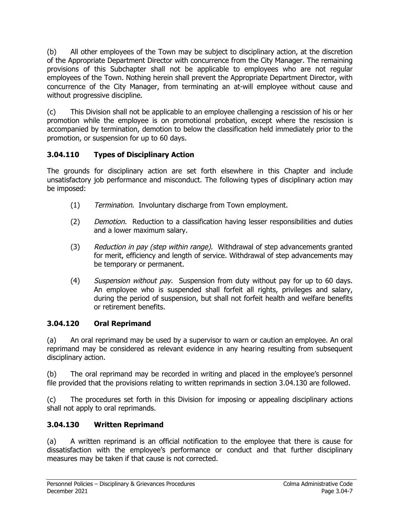(b) All other employees of the Town may be subject to disciplinary action, at the discretion of the Appropriate Department Director with concurrence from the City Manager. The remaining provisions of this Subchapter shall not be applicable to employees who are not regular employees of the Town. Nothing herein shall prevent the Appropriate Department Director, with concurrence of the City Manager, from terminating an at-will employee without cause and without progressive discipline.

(c) This Division shall not be applicable to an employee challenging a rescission of his or her promotion while the employee is on promotional probation, except where the rescission is accompanied by termination, demotion to below the classification held immediately prior to the promotion, or suspension for up to 60 days.

# **3.04.110 Types of Disciplinary Action**

The grounds for disciplinary action are set forth elsewhere in this Chapter and include unsatisfactory job performance and misconduct. The following types of disciplinary action may be imposed:

- (1) Termination. Involuntary discharge from Town employment.
- (2) Demotion. Reduction to a classification having lesser responsibilities and duties and a lower maximum salary.
- (3) Reduction in pay (step within range). Withdrawal of step advancements granted for merit, efficiency and length of service. Withdrawal of step advancements may be temporary or permanent.
- (4) Suspension without pay. Suspension from duty without pay for up to 60 days. An employee who is suspended shall forfeit all rights, privileges and salary, during the period of suspension, but shall not forfeit health and welfare benefits or retirement benefits.

# **3.04.120 Oral Reprimand**

(a) An oral reprimand may be used by a supervisor to warn or caution an employee. An oral reprimand may be considered as relevant evidence in any hearing resulting from subsequent disciplinary action.

(b) The oral reprimand may be recorded in writing and placed in the employee's personnel file provided that the provisions relating to written reprimands in section 3.04.130 are followed.

(c) The procedures set forth in this Division for imposing or appealing disciplinary actions shall not apply to oral reprimands.

# **3.04.130 Written Reprimand**

(a) A written reprimand is an official notification to the employee that there is cause for dissatisfaction with the employee's performance or conduct and that further disciplinary measures may be taken if that cause is not corrected.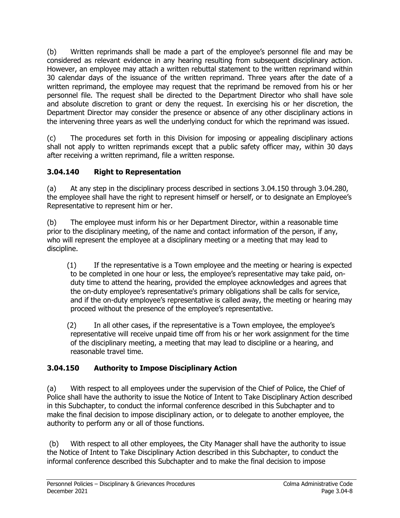(b) Written reprimands shall be made a part of the employee's personnel file and may be considered as relevant evidence in any hearing resulting from subsequent disciplinary action. However, an employee may attach a written rebuttal statement to the written reprimand within 30 calendar days of the issuance of the written reprimand. Three years after the date of a written reprimand, the employee may request that the reprimand be removed from his or her personnel file. The request shall be directed to the Department Director who shall have sole and absolute discretion to grant or deny the request. In exercising his or her discretion, the Department Director may consider the presence or absence of any other disciplinary actions in the intervening three years as well the underlying conduct for which the reprimand was issued.

(c) The procedures set forth in this Division for imposing or appealing disciplinary actions shall not apply to written reprimands except that a public safety officer may, within 30 days after receiving a written reprimand, file a written response.

# **3.04.140 Right to Representation**

(a) At any step in the disciplinary process described in sections 3.04.150 through 3.04.280, the employee shall have the right to represent himself or herself, or to designate an Employee's Representative to represent him or her.

(b) The employee must inform his or her Department Director, within a reasonable time prior to the disciplinary meeting, of the name and contact information of the person, if any, who will represent the employee at a disciplinary meeting or a meeting that may lead to discipline.

(1) If the representative is a Town employee and the meeting or hearing is expected to be completed in one hour or less, the employee's representative may take paid, onduty time to attend the hearing, provided the employee acknowledges and agrees that the on-duty employee's representative's primary obligations shall be calls for service, and if the on-duty employee's representative is called away, the meeting or hearing may proceed without the presence of the employee's representative.

(2) In all other cases, if the representative is a Town employee, the employee's representative will receive unpaid time off from his or her work assignment for the time of the disciplinary meeting, a meeting that may lead to discipline or a hearing, and reasonable travel time.

# **3.04.150 Authority to Impose Disciplinary Action**

(a) With respect to all employees under the supervision of the Chief of Police, the Chief of Police shall have the authority to issue the Notice of Intent to Take Disciplinary Action described in this Subchapter, to conduct the informal conference described in this Subchapter and to make the final decision to impose disciplinary action, or to delegate to another employee, the authority to perform any or all of those functions.

 (b) With respect to all other employees, the City Manager shall have the authority to issue the Notice of Intent to Take Disciplinary Action described in this Subchapter, to conduct the informal conference described this Subchapter and to make the final decision to impose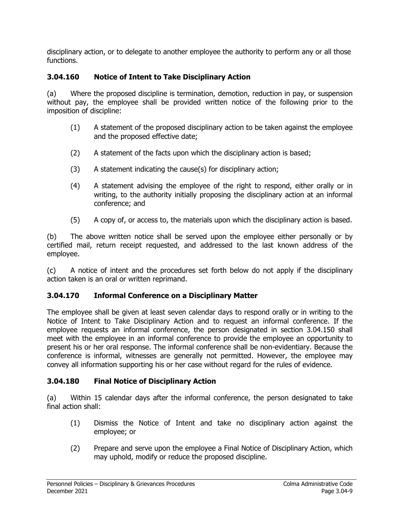disciplinary action, or to delegate to another employee the authority to perform any or all those functions.

# **3.04.160 Notice of Intent to Take Disciplinary Action**

(a) Where the proposed discipline is termination, demotion, reduction in pay, or suspension without pay, the employee shall be provided written notice of the following prior to the imposition of discipline:

- (1) A statement of the proposed disciplinary action to be taken against the employee and the proposed effective date;
- (2) A statement of the facts upon which the disciplinary action is based;
- (3) A statement indicating the cause(s) for disciplinary action;
- (4) A statement advising the employee of the right to respond, either orally or in writing, to the authority initially proposing the disciplinary action at an informal conference; and
- (5) A copy of, or access to, the materials upon which the disciplinary action is based.

(b) The above written notice shall be served upon the employee either personally or by certified mail, return receipt requested, and addressed to the last known address of the employee.

(c) A notice of intent and the procedures set forth below do not apply if the disciplinary action taken is an oral or written reprimand.

# **3.04.170 Informal Conference on a Disciplinary Matter**

The employee shall be given at least seven calendar days to respond orally or in writing to the Notice of Intent to Take Disciplinary Action and to request an informal conference. If the employee requests an informal conference, the person designated in section 3.04.150 shall meet with the employee in an informal conference to provide the employee an opportunity to present his or her oral response. The informal conference shall be non-evidentiary. Because the conference is informal, witnesses are generally not permitted. However, the employee may convey all information supporting his or her case without regard for the rules of evidence.

# **3.04.180 Final Notice of Disciplinary Action**

(a) Within 15 calendar days after the informal conference, the person designated to take final action shall:

- (1) Dismiss the Notice of Intent and take no disciplinary action against the employee; or
- (2) Prepare and serve upon the employee a Final Notice of Disciplinary Action, which may uphold, modify or reduce the proposed discipline.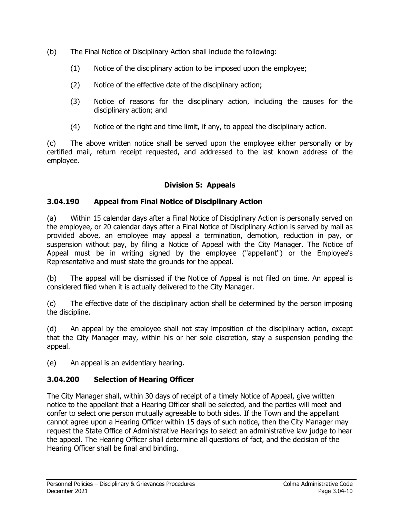- (b) The Final Notice of Disciplinary Action shall include the following:
	- (1) Notice of the disciplinary action to be imposed upon the employee;
	- (2) Notice of the effective date of the disciplinary action;
	- (3) Notice of reasons for the disciplinary action, including the causes for the disciplinary action; and
	- (4) Notice of the right and time limit, if any, to appeal the disciplinary action.

(c) The above written notice shall be served upon the employee either personally or by certified mail, return receipt requested, and addressed to the last known address of the employee.

# **Division 5: Appeals**

# **3.04.190 Appeal from Final Notice of Disciplinary Action**

(a) Within 15 calendar days after a Final Notice of Disciplinary Action is personally served on the employee, or 20 calendar days after a Final Notice of Disciplinary Action is served by mail as provided above, an employee may appeal a termination, demotion, reduction in pay, or suspension without pay, by filing a Notice of Appeal with the City Manager. The Notice of Appeal must be in writing signed by the employee ("appellant") or the Employee's Representative and must state the grounds for the appeal.

(b) The appeal will be dismissed if the Notice of Appeal is not filed on time. An appeal is considered filed when it is actually delivered to the City Manager.

(c) The effective date of the disciplinary action shall be determined by the person imposing the discipline.

(d) An appeal by the employee shall not stay imposition of the disciplinary action, except that the City Manager may, within his or her sole discretion, stay a suspension pending the appeal.

(e) An appeal is an evidentiary hearing.

# **3.04.200 Selection of Hearing Officer**

The City Manager shall, within 30 days of receipt of a timely Notice of Appeal, give written notice to the appellant that a Hearing Officer shall be selected, and the parties will meet and confer to select one person mutually agreeable to both sides. If the Town and the appellant cannot agree upon a Hearing Officer within 15 days of such notice, then the City Manager may request the State Office of Administrative Hearings to select an administrative law judge to hear the appeal. The Hearing Officer shall determine all questions of fact, and the decision of the Hearing Officer shall be final and binding.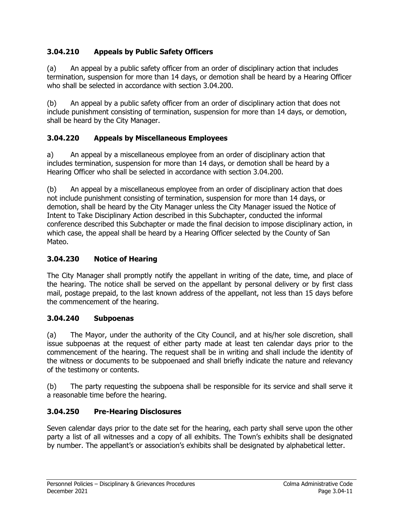# **3.04.210 Appeals by Public Safety Officers**

(a) An appeal by a public safety officer from an order of disciplinary action that includes termination, suspension for more than 14 days, or demotion shall be heard by a Hearing Officer who shall be selected in accordance with section 3.04.200.

(b) An appeal by a public safety officer from an order of disciplinary action that does not include punishment consisting of termination, suspension for more than 14 days, or demotion, shall be heard by the City Manager.

# **3.04.220 Appeals by Miscellaneous Employees**

a) An appeal by a miscellaneous employee from an order of disciplinary action that includes termination, suspension for more than 14 days, or demotion shall be heard by a Hearing Officer who shall be selected in accordance with section 3.04.200.

(b) An appeal by a miscellaneous employee from an order of disciplinary action that does not include punishment consisting of termination, suspension for more than 14 days, or demotion, shall be heard by the City Manager unless the City Manager issued the Notice of Intent to Take Disciplinary Action described in this Subchapter, conducted the informal conference described this Subchapter or made the final decision to impose disciplinary action, in which case, the appeal shall be heard by a Hearing Officer selected by the County of San Mateo.

# **3.04.230 Notice of Hearing**

The City Manager shall promptly notify the appellant in writing of the date, time, and place of the hearing. The notice shall be served on the appellant by personal delivery or by first class mail, postage prepaid, to the last known address of the appellant, not less than 15 days before the commencement of the hearing.

# **3.04.240 Subpoenas**

(a) The Mayor, under the authority of the City Council, and at his/her sole discretion, shall issue subpoenas at the request of either party made at least ten calendar days prior to the commencement of the hearing. The request shall be in writing and shall include the identity of the witness or documents to be subpoenaed and shall briefly indicate the nature and relevancy of the testimony or contents.

(b) The party requesting the subpoena shall be responsible for its service and shall serve it a reasonable time before the hearing.

# **3.04.250 Pre-Hearing Disclosures**

Seven calendar days prior to the date set for the hearing, each party shall serve upon the other party a list of all witnesses and a copy of all exhibits. The Town's exhibits shall be designated by number. The appellant's or association's exhibits shall be designated by alphabetical letter.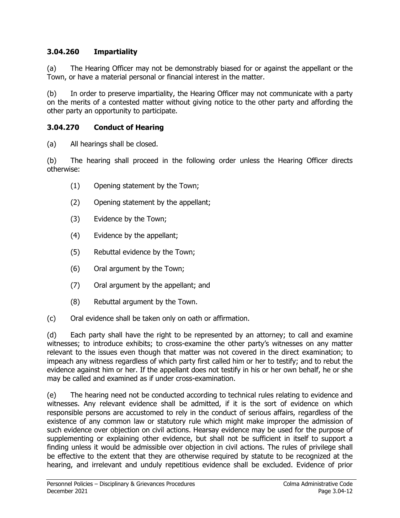### **3.04.260 Impartiality**

(a) The Hearing Officer may not be demonstrably biased for or against the appellant or the Town, or have a material personal or financial interest in the matter.

(b) In order to preserve impartiality, the Hearing Officer may not communicate with a party on the merits of a contested matter without giving notice to the other party and affording the other party an opportunity to participate.

### **3.04.270 Conduct of Hearing**

(a) All hearings shall be closed.

(b) The hearing shall proceed in the following order unless the Hearing Officer directs otherwise:

- (1) Opening statement by the Town;
- (2) Opening statement by the appellant;
- (3) Evidence by the Town;
- (4) Evidence by the appellant;
- (5) Rebuttal evidence by the Town;
- (6) Oral argument by the Town;
- (7) Oral argument by the appellant; and
- (8) Rebuttal argument by the Town.
- (c) Oral evidence shall be taken only on oath or affirmation.

(d) Each party shall have the right to be represented by an attorney; to call and examine witnesses; to introduce exhibits; to cross-examine the other party's witnesses on any matter relevant to the issues even though that matter was not covered in the direct examination; to impeach any witness regardless of which party first called him or her to testify; and to rebut the evidence against him or her. If the appellant does not testify in his or her own behalf, he or she may be called and examined as if under cross-examination.

(e) The hearing need not be conducted according to technical rules relating to evidence and witnesses. Any relevant evidence shall be admitted, if it is the sort of evidence on which responsible persons are accustomed to rely in the conduct of serious affairs, regardless of the existence of any common law or statutory rule which might make improper the admission of such evidence over objection on civil actions. Hearsay evidence may be used for the purpose of supplementing or explaining other evidence, but shall not be sufficient in itself to support a finding unless it would be admissible over objection in civil actions. The rules of privilege shall be effective to the extent that they are otherwise required by statute to be recognized at the hearing, and irrelevant and unduly repetitious evidence shall be excluded. Evidence of prior